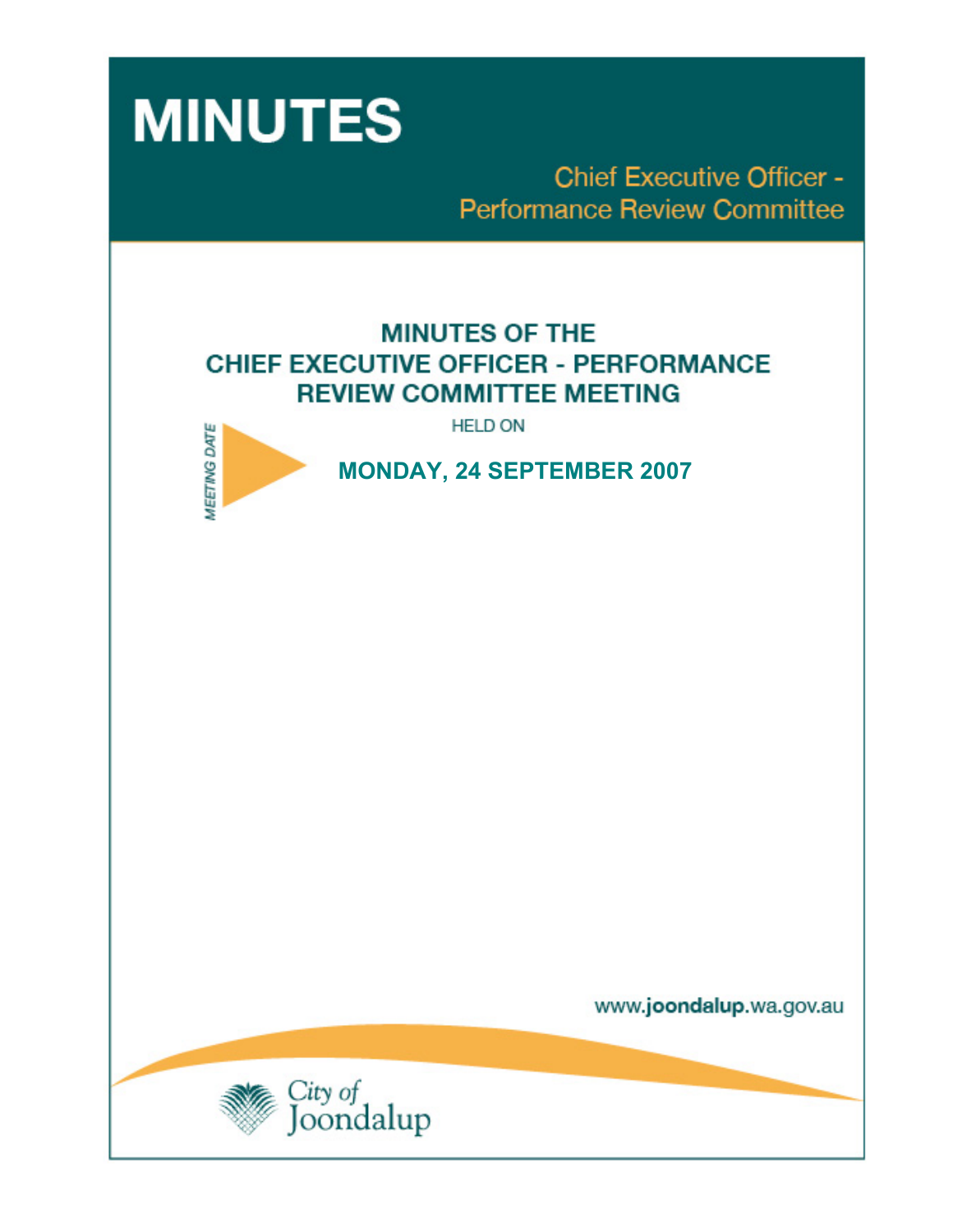

**Chief Executive Officer -Performance Review Committee** 

# **MINUTES OF THE CHIEF EXECUTIVE OFFICER - PERFORMANCE REVIEW COMMITTEE MEETING**

**HELD ON** 



 **MONDAY, 24 SEPTEMBER 2007** 

www.joondalup.wa.gov.au

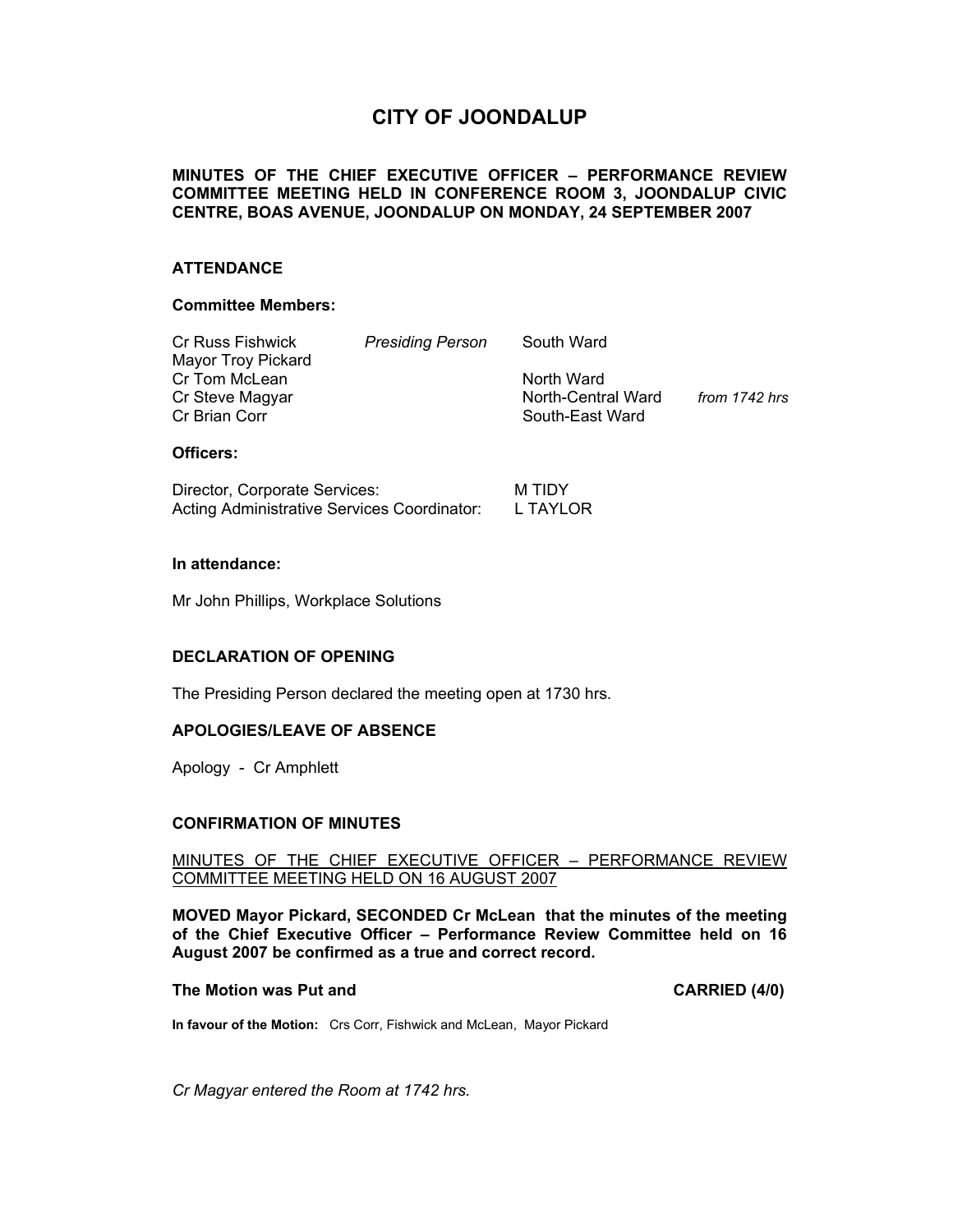## **CITY OF JOONDALUP**

## **MINUTES OF THE CHIEF EXECUTIVE OFFICER – PERFORMANCE REVIEW COMMITTEE MEETING HELD IN CONFERENCE ROOM 3, JOONDALUP CIVIC CENTRE, BOAS AVENUE, JOONDALUP ON MONDAY, 24 SEPTEMBER 2007**

### **ATTENDANCE**

#### **Committee Members:**

| Cr Russ Fishwick   | <b>Presiding Person</b> | South Ward         |               |
|--------------------|-------------------------|--------------------|---------------|
| Mayor Troy Pickard |                         |                    |               |
| Cr Tom McLean      |                         | North Ward         |               |
| Cr Steve Magyar    |                         | North-Central Ward | from 1742 hrs |
| Cr Brian Corr      |                         | South-East Ward    |               |
|                    |                         |                    |               |

## **Officers:**

| Director, Corporate Services:               | M TIDY   |
|---------------------------------------------|----------|
| Acting Administrative Services Coordinator: | L TAYLOR |

#### **In attendance:**

Mr John Phillips, Workplace Solutions

## **DECLARATION OF OPENING**

The Presiding Person declared the meeting open at 1730 hrs.

## **APOLOGIES/LEAVE OF ABSENCE**

Apology - Cr Amphlett

## **CONFIRMATION OF MINUTES**

## MINUTES OF THE CHIEF EXECUTIVE OFFICER – PERFORMANCE REVIEW COMMITTEE MEETING HELD ON 16 AUGUST 2007

**MOVED Mayor Pickard, SECONDED Cr McLean that the minutes of the meeting of the Chief Executive Officer – Performance Review Committee held on 16 August 2007 be confirmed as a true and correct record.** 

#### **The Motion was Put and CARRIED (4/0) CARRIED (4/0)**

**In favour of the Motion:** Crs Corr, Fishwick and McLean, Mayor Pickard

*Cr Magyar entered the Room at 1742 hrs.*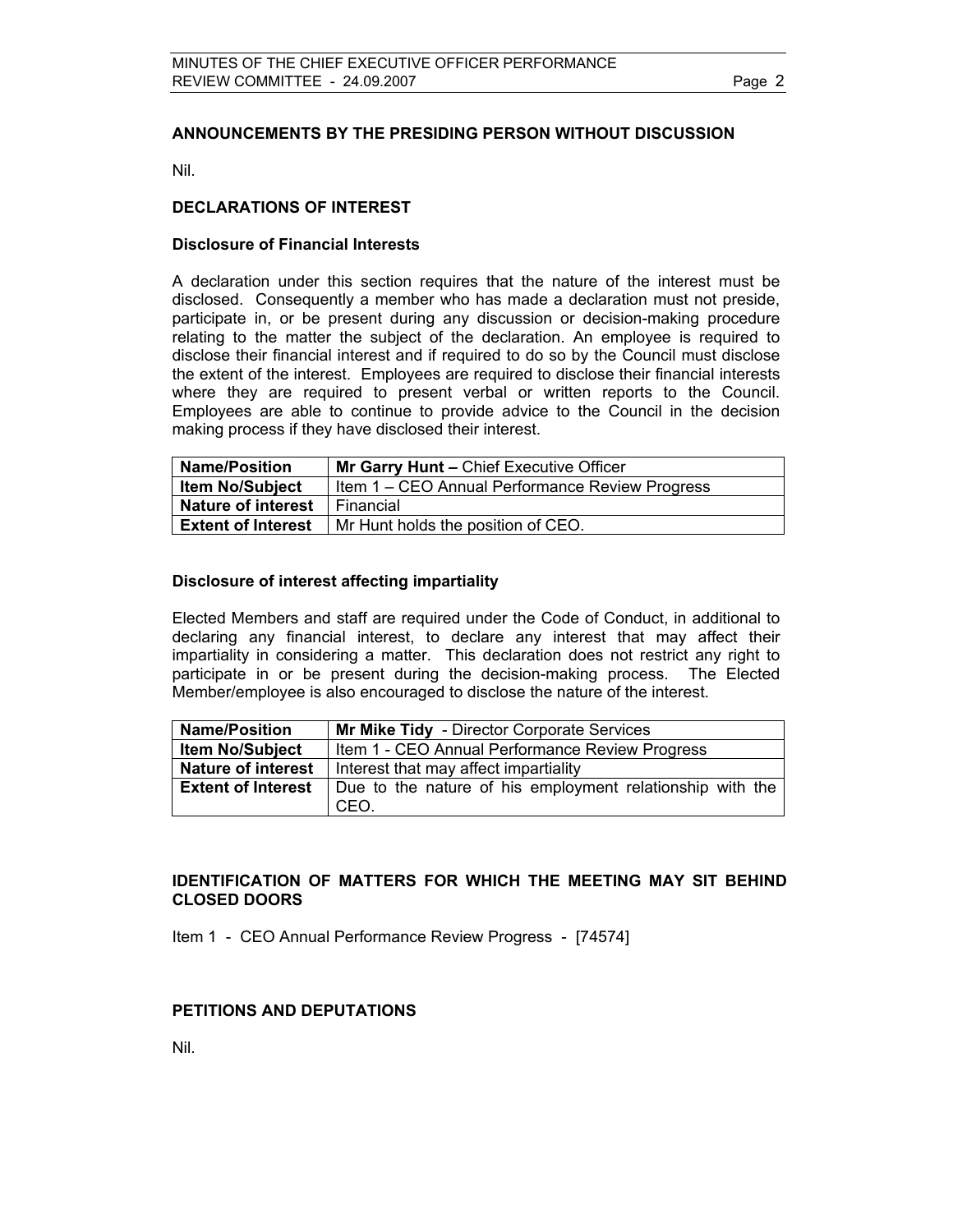## **ANNOUNCEMENTS BY THE PRESIDING PERSON WITHOUT DISCUSSION**

Nil.

## **DECLARATIONS OF INTEREST**

## **Disclosure of Financial Interests**

A declaration under this section requires that the nature of the interest must be disclosed. Consequently a member who has made a declaration must not preside, participate in, or be present during any discussion or decision-making procedure relating to the matter the subject of the declaration. An employee is required to disclose their financial interest and if required to do so by the Council must disclose the extent of the interest. Employees are required to disclose their financial interests where they are required to present verbal or written reports to the Council. Employees are able to continue to provide advice to the Council in the decision making process if they have disclosed their interest.

| <b>Name/Position</b>      | Mr Garry Hunt - Chief Executive Officer         |  |  |
|---------------------------|-------------------------------------------------|--|--|
| <b>Item No/Subject</b>    | Item 1 – CEO Annual Performance Review Progress |  |  |
| <b>Nature of interest</b> | Financial                                       |  |  |
| <b>Extent of Interest</b> | Mr Hunt holds the position of CEO.              |  |  |

## **Disclosure of interest affecting impartiality**

Elected Members and staff are required under the Code of Conduct, in additional to declaring any financial interest, to declare any interest that may affect their impartiality in considering a matter. This declaration does not restrict any right to participate in or be present during the decision-making process. The Elected Member/employee is also encouraged to disclose the nature of the interest.

| <b>Name/Position</b>      | Mr Mike Tidy - Director Corporate Services                        |  |  |
|---------------------------|-------------------------------------------------------------------|--|--|
| <b>Item No/Subject</b>    | Item 1 - CEO Annual Performance Review Progress                   |  |  |
| <b>Nature of interest</b> | Interest that may affect impartiality                             |  |  |
| <b>Extent of Interest</b> | Due to the nature of his employment relationship with the<br>CEO. |  |  |

## **IDENTIFICATION OF MATTERS FOR WHICH THE MEETING MAY SIT BEHIND CLOSED DOORS**

Item 1 - CEO Annual Performance Review Progress - [74574]

## **PETITIONS AND DEPUTATIONS**

Nil.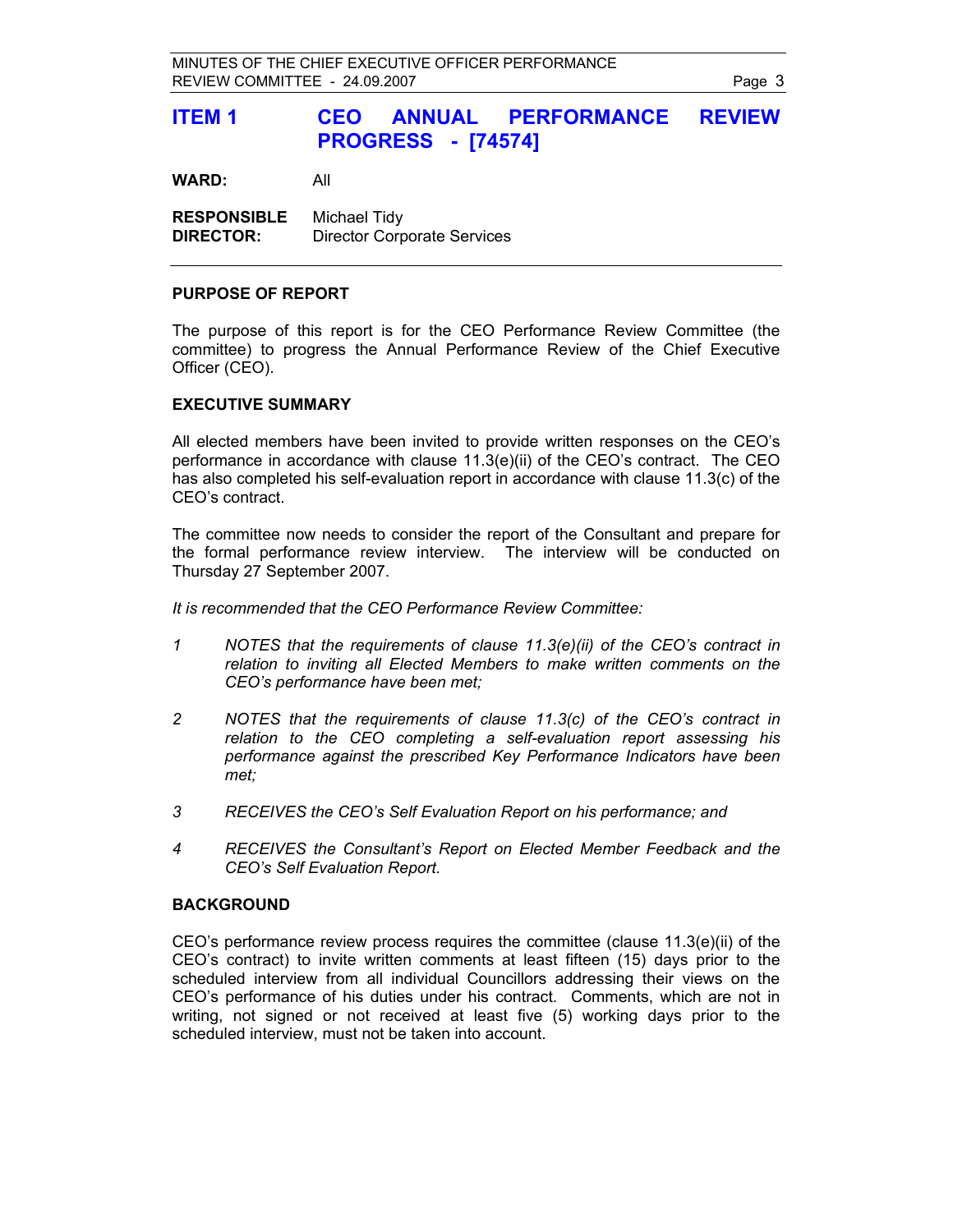## **ITEM 1 CEO ANNUAL PERFORMANCE REVIEW PROGRESS - [74574]**

**WARD:** All

**RESPONSIBLE** Michael Tidy **DIRECTOR:** Director Corporate Services

### **PURPOSE OF REPORT**

The purpose of this report is for the CEO Performance Review Committee (the committee) to progress the Annual Performance Review of the Chief Executive Officer (CEO).

### **EXECUTIVE SUMMARY**

All elected members have been invited to provide written responses on the CEO's performance in accordance with clause 11.3(e)(ii) of the CEO's contract. The CEO has also completed his self-evaluation report in accordance with clause 11.3(c) of the CEO's contract.

The committee now needs to consider the report of the Consultant and prepare for the formal performance review interview. The interview will be conducted on Thursday 27 September 2007.

*It is recommended that the CEO Performance Review Committee:* 

- *1 NOTES that the requirements of clause 11.3(e)(ii) of the CEO's contract in relation to inviting all Elected Members to make written comments on the CEO's performance have been met;*
- *2 NOTES that the requirements of clause 11.3(c) of the CEO's contract in relation to the CEO completing a self-evaluation report assessing his performance against the prescribed Key Performance Indicators have been met;*
- *3 RECEIVES the CEO's Self Evaluation Report on his performance; and*
- *4 RECEIVES the Consultant's Report on Elected Member Feedback and the CEO's Self Evaluation Report.*

#### **BACKGROUND**

CEO's performance review process requires the committee (clause 11.3(e)(ii) of the CEO's contract) to invite written comments at least fifteen (15) days prior to the scheduled interview from all individual Councillors addressing their views on the CEO's performance of his duties under his contract. Comments, which are not in writing, not signed or not received at least five (5) working days prior to the scheduled interview, must not be taken into account.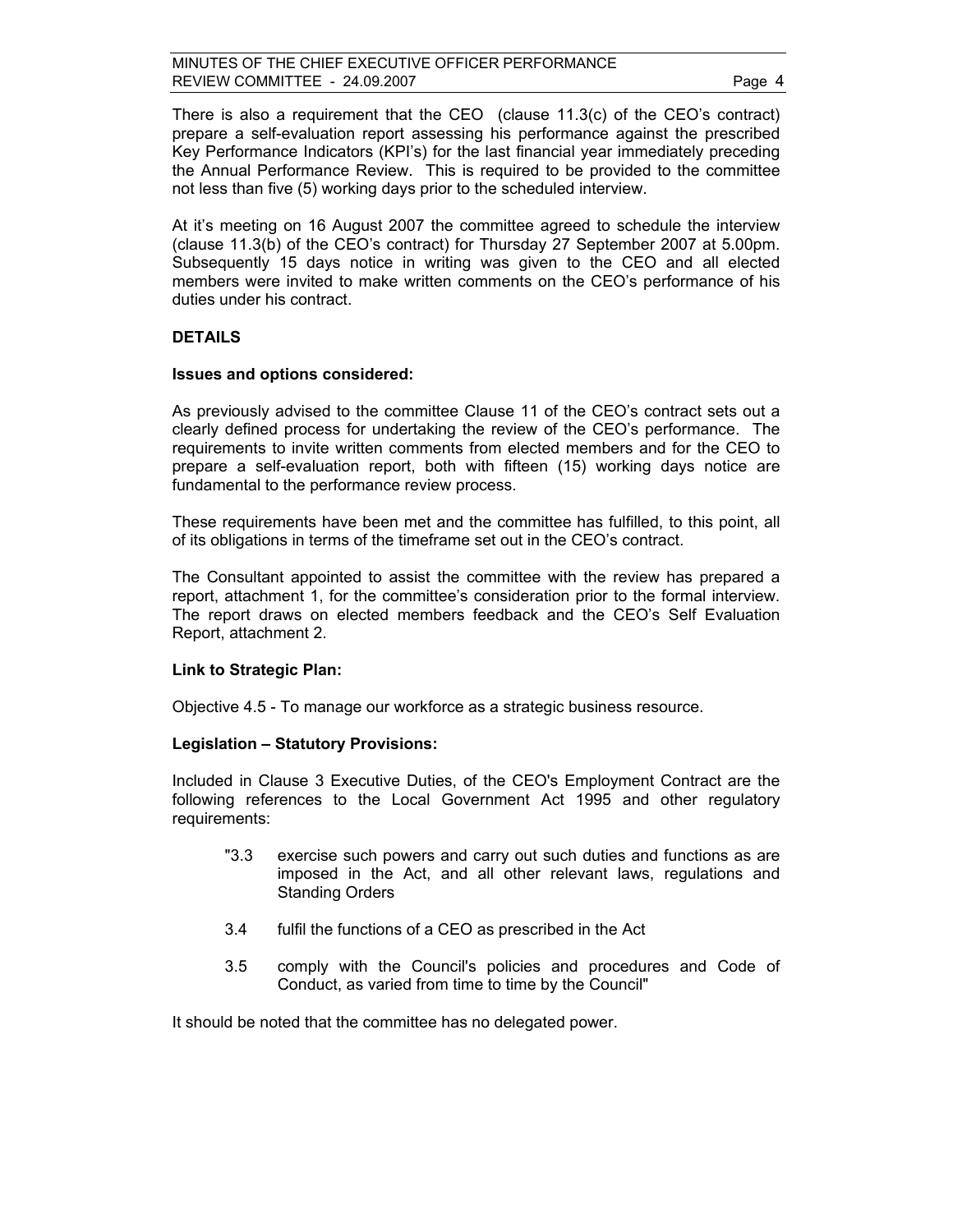There is also a requirement that the CEO (clause 11.3(c) of the CEO's contract) prepare a self-evaluation report assessing his performance against the prescribed Key Performance Indicators (KPI's) for the last financial year immediately preceding the Annual Performance Review. This is required to be provided to the committee not less than five (5) working days prior to the scheduled interview.

At it's meeting on 16 August 2007 the committee agreed to schedule the interview (clause 11.3(b) of the CEO's contract) for Thursday 27 September 2007 at 5.00pm. Subsequently 15 days notice in writing was given to the CEO and all elected members were invited to make written comments on the CEO's performance of his duties under his contract.

## **DETAILS**

#### **Issues and options considered:**

As previously advised to the committee Clause 11 of the CEO's contract sets out a clearly defined process for undertaking the review of the CEO's performance. The requirements to invite written comments from elected members and for the CEO to prepare a self-evaluation report, both with fifteen (15) working days notice are fundamental to the performance review process.

These requirements have been met and the committee has fulfilled, to this point, all of its obligations in terms of the timeframe set out in the CEO's contract.

The Consultant appointed to assist the committee with the review has prepared a report, attachment 1, for the committee's consideration prior to the formal interview. The report draws on elected members feedback and the CEO's Self Evaluation Report, attachment 2.

## **Link to Strategic Plan:**

Objective 4.5 - To manage our workforce as a strategic business resource.

## **Legislation – Statutory Provisions:**

Included in Clause 3 Executive Duties, of the CEO's Employment Contract are the following references to the Local Government Act 1995 and other regulatory requirements:

- "3.3 exercise such powers and carry out such duties and functions as are imposed in the Act, and all other relevant laws, regulations and Standing Orders
- 3.4 fulfil the functions of a CEO as prescribed in the Act
- 3.5 comply with the Council's policies and procedures and Code of Conduct, as varied from time to time by the Council"

It should be noted that the committee has no delegated power.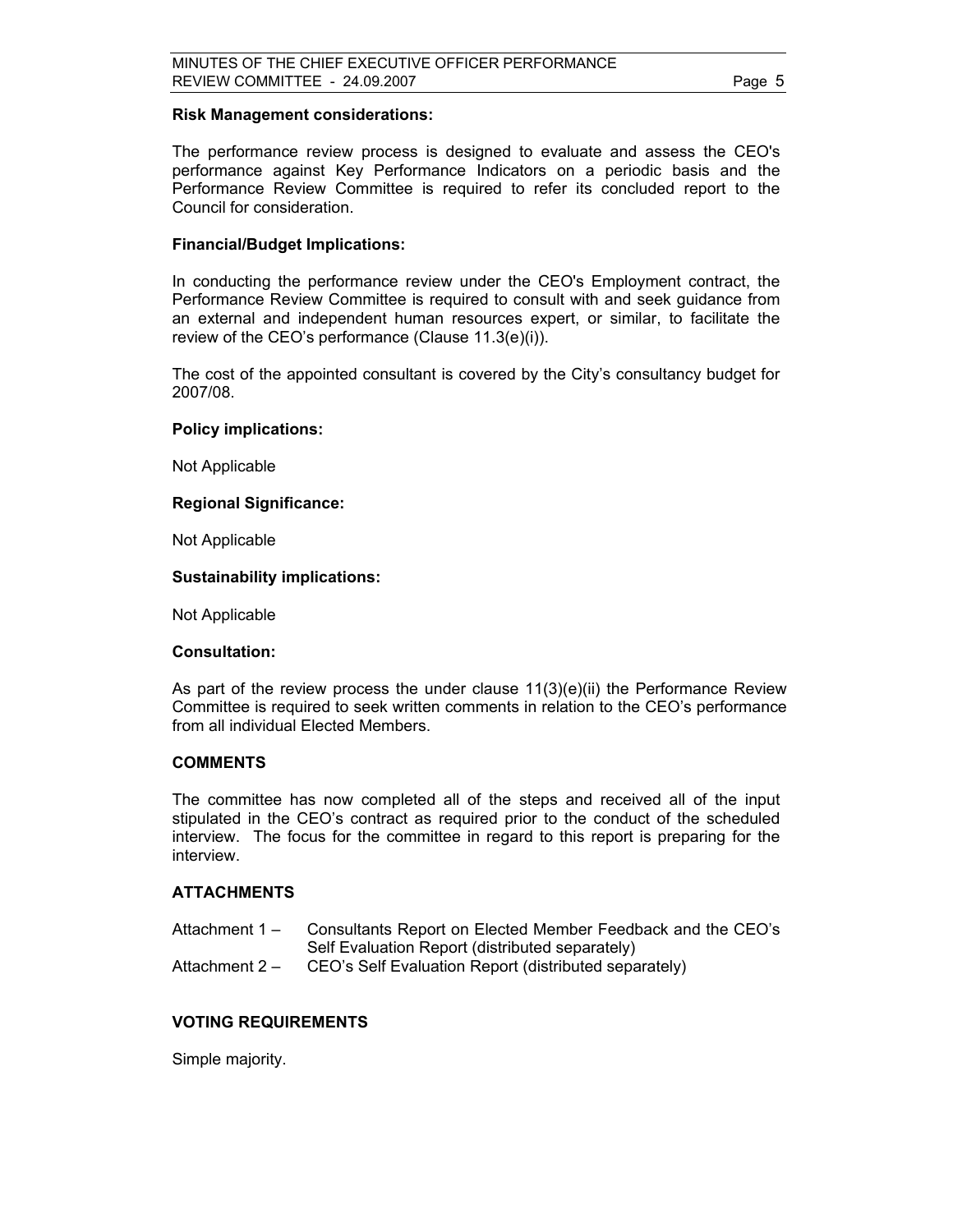#### **Risk Management considerations:**

The performance review process is designed to evaluate and assess the CEO's performance against Key Performance Indicators on a periodic basis and the Performance Review Committee is required to refer its concluded report to the Council for consideration.

### **Financial/Budget Implications:**

In conducting the performance review under the CEO's Employment contract, the Performance Review Committee is required to consult with and seek guidance from an external and independent human resources expert, or similar, to facilitate the review of the CEO's performance (Clause 11.3(e)(i)).

The cost of the appointed consultant is covered by the City's consultancy budget for 2007/08.

#### **Policy implications:**

Not Applicable

#### **Regional Significance:**

Not Applicable

#### **Sustainability implications:**

Not Applicable

#### **Consultation:**

As part of the review process the under clause  $11(3)(e)(ii)$  the Performance Review Committee is required to seek written comments in relation to the CEO's performance from all individual Elected Members.

#### **COMMENTS**

The committee has now completed all of the steps and received all of the input stipulated in the CEO's contract as required prior to the conduct of the scheduled interview. The focus for the committee in regard to this report is preparing for the interview.

## **ATTACHMENTS**

- Attachment 1 Consultants Report on Elected Member Feedback and the CEO's Self Evaluation Report (distributed separately)
- Attachment 2 CEO's Self Evaluation Report (distributed separately)

## **VOTING REQUIREMENTS**

Simple majority.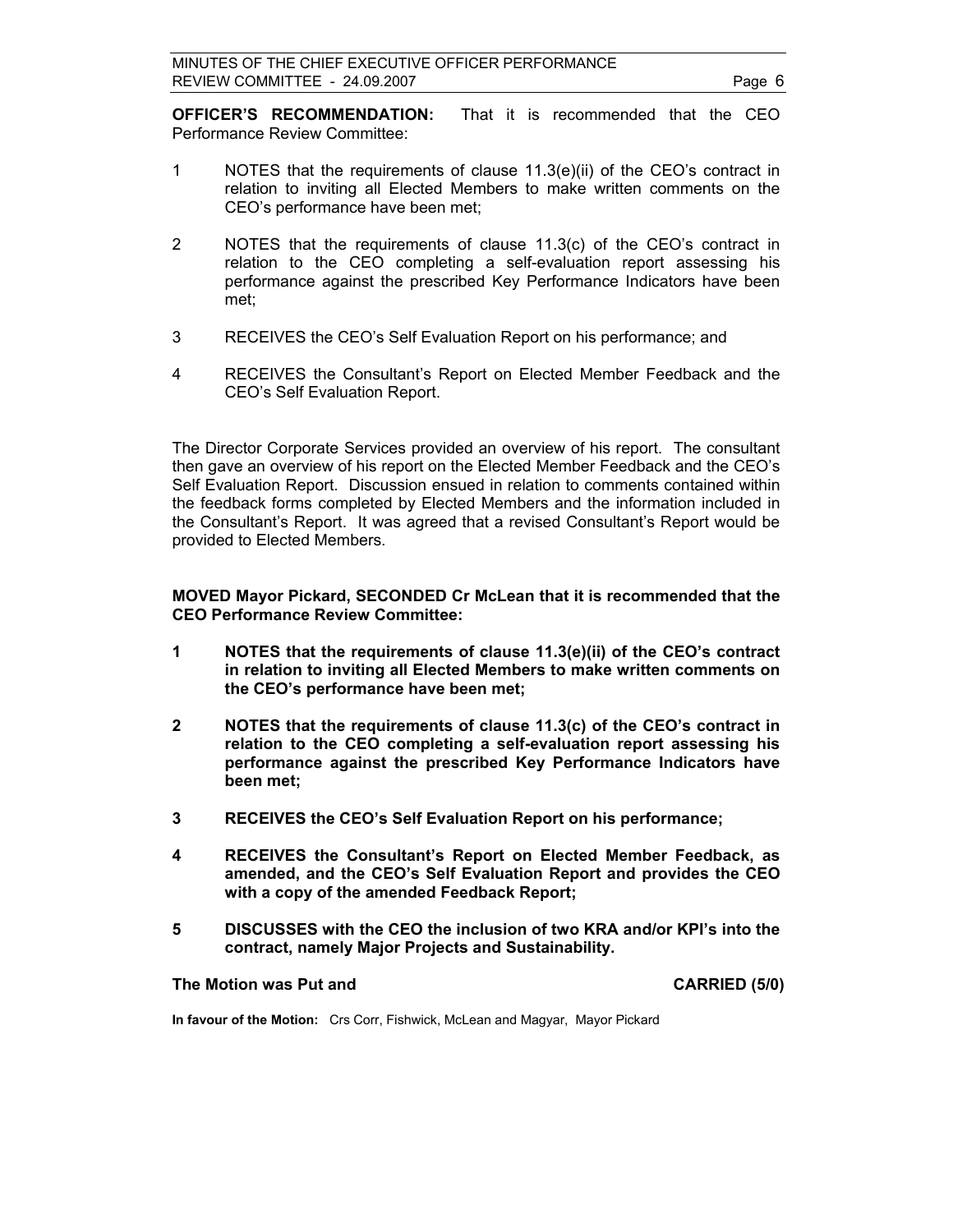**OFFICER'S RECOMMENDATION:** That it is recommended that the CEO Performance Review Committee:

- 1 NOTES that the requirements of clause 11.3(e)(ii) of the CEO's contract in relation to inviting all Elected Members to make written comments on the CEO's performance have been met;
- 2 NOTES that the requirements of clause 11.3(c) of the CEO's contract in relation to the CEO completing a self-evaluation report assessing his performance against the prescribed Key Performance Indicators have been met;
- 3 RECEIVES the CEO's Self Evaluation Report on his performance; and
- 4 RECEIVES the Consultant's Report on Elected Member Feedback and the CEO's Self Evaluation Report.

The Director Corporate Services provided an overview of his report. The consultant then gave an overview of his report on the Elected Member Feedback and the CEO's Self Evaluation Report. Discussion ensued in relation to comments contained within the feedback forms completed by Elected Members and the information included in the Consultant's Report. It was agreed that a revised Consultant's Report would be provided to Elected Members.

**MOVED Mayor Pickard, SECONDED Cr McLean that it is recommended that the CEO Performance Review Committee:** 

- **1 NOTES that the requirements of clause 11.3(e)(ii) of the CEO's contract in relation to inviting all Elected Members to make written comments on the CEO's performance have been met;**
- **2 NOTES that the requirements of clause 11.3(c) of the CEO's contract in relation to the CEO completing a self-evaluation report assessing his performance against the prescribed Key Performance Indicators have been met;**
- **3 RECEIVES the CEO's Self Evaluation Report on his performance;**
- **4 RECEIVES the Consultant's Report on Elected Member Feedback, as amended, and the CEO's Self Evaluation Report and provides the CEO with a copy of the amended Feedback Report;**
- **5 DISCUSSES with the CEO the inclusion of two KRA and/or KPI's into the contract, namely Major Projects and Sustainability.**

## **The Motion was Put and CARRIED (5/0) CARRIED (5/0)**

**In favour of the Motion:** Crs Corr, Fishwick, McLean and Magyar, Mayor Pickard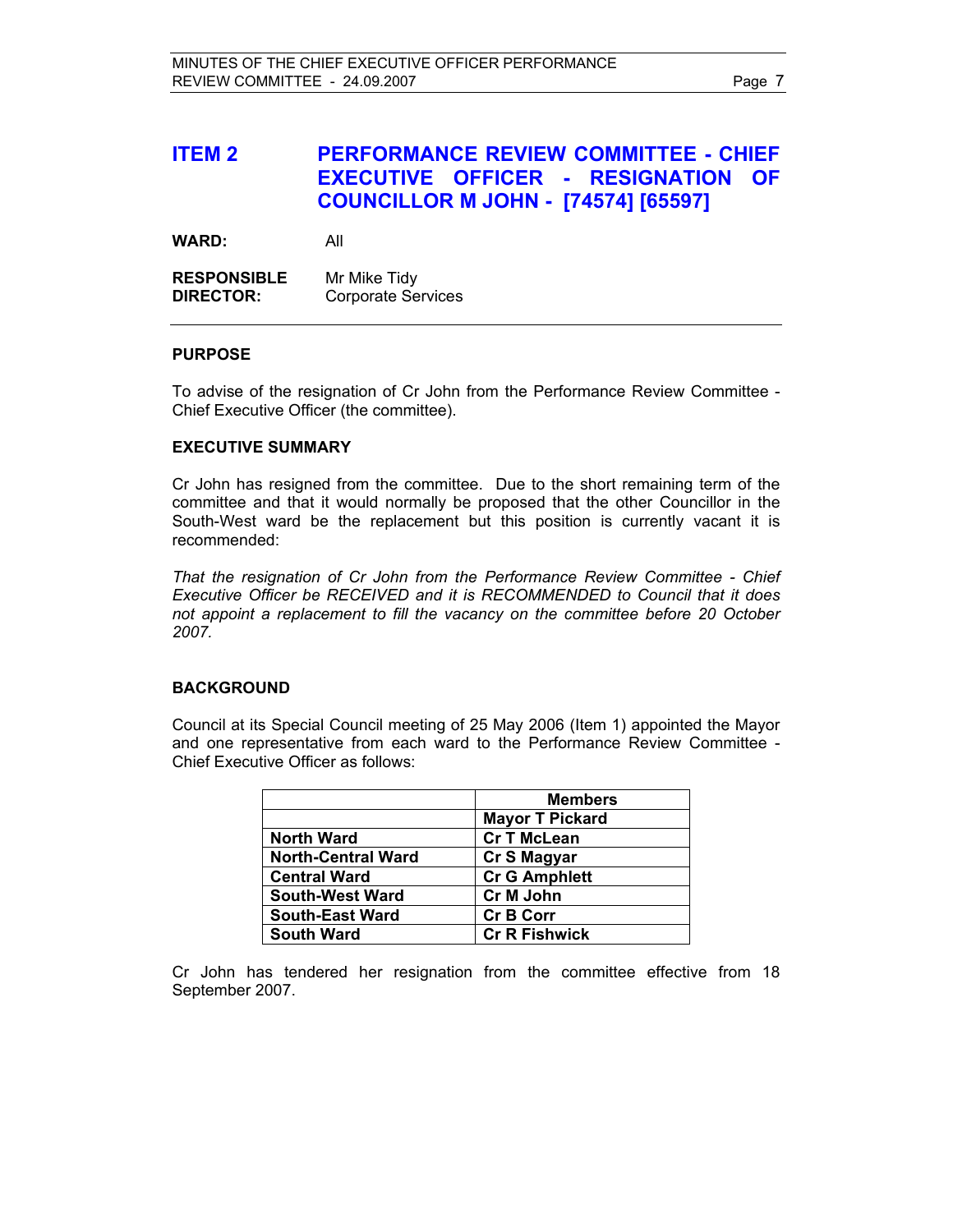## **ITEM 2 PERFORMANCE REVIEW COMMITTEE - CHIEF EXECUTIVE OFFICER - RESIGNATION OF COUNCILLOR M JOHN - [74574] [65597]**

**WARD:** All

**RESPONSIBLE** Mr Mike Tidy **DIRECTOR:** Corporate Services

## **PURPOSE**

To advise of the resignation of Cr John from the Performance Review Committee - Chief Executive Officer (the committee).

## **EXECUTIVE SUMMARY**

Cr John has resigned from the committee. Due to the short remaining term of the committee and that it would normally be proposed that the other Councillor in the South-West ward be the replacement but this position is currently vacant it is recommended:

*That the resignation of Cr John from the Performance Review Committee - Chief Executive Officer be RECEIVED and it is RECOMMENDED to Council that it does not appoint a replacement to fill the vacancy on the committee before 20 October 2007.* 

## **BACKGROUND**

Council at its Special Council meeting of 25 May 2006 (Item 1) appointed the Mayor and one representative from each ward to the Performance Review Committee - Chief Executive Officer as follows:

|                           | <b>Members</b>         |
|---------------------------|------------------------|
|                           | <b>Mayor T Pickard</b> |
| <b>North Ward</b>         | <b>Cr T McLean</b>     |
| <b>North-Central Ward</b> | Cr S Magyar            |
| <b>Central Ward</b>       | <b>Cr G Amphlett</b>   |
| <b>South-West Ward</b>    | Cr M John              |
| <b>South-East Ward</b>    | <b>Cr B Corr</b>       |
| <b>South Ward</b>         | <b>Cr R Fishwick</b>   |

Cr John has tendered her resignation from the committee effective from 18 September 2007.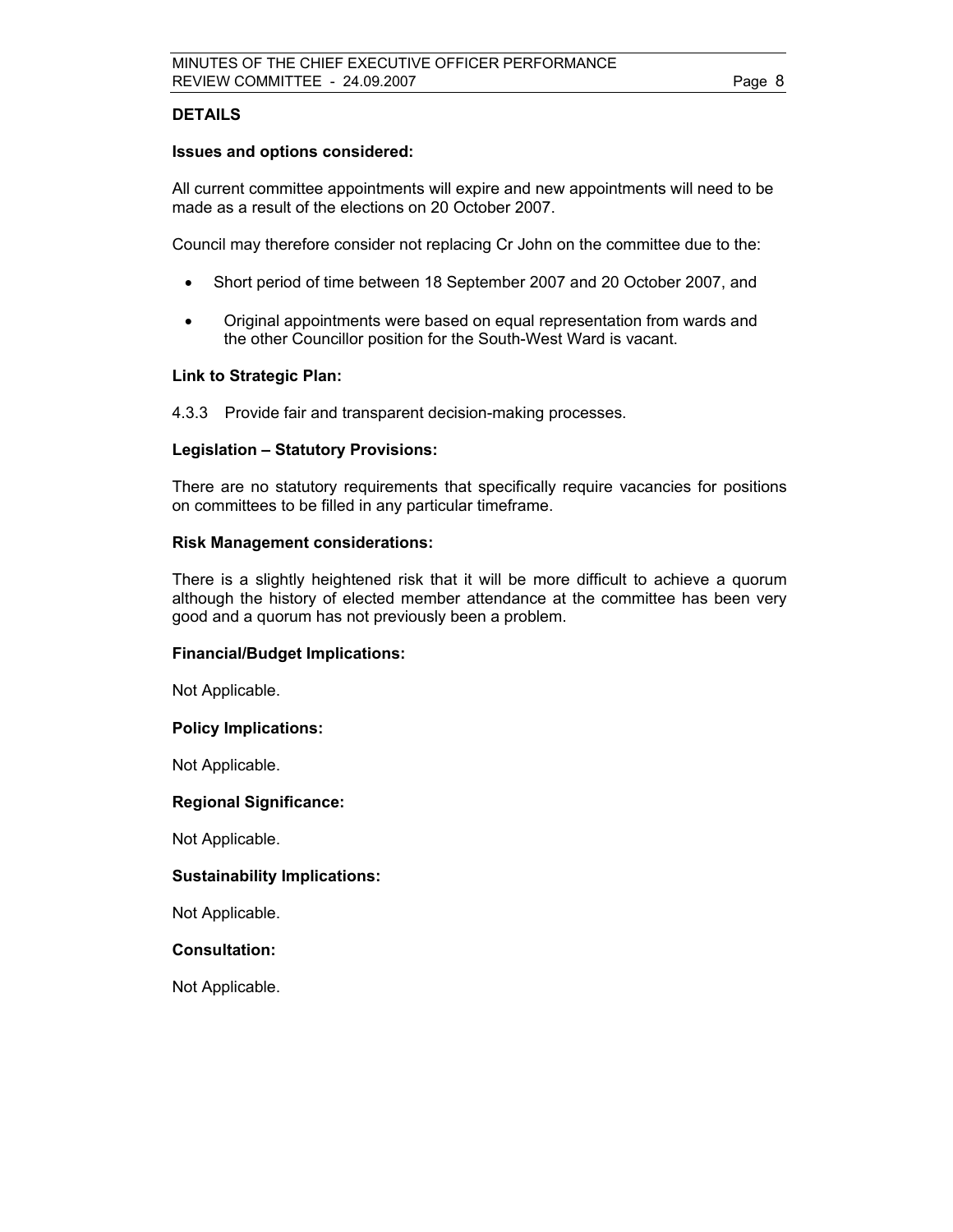## **DETAILS**

## **Issues and options considered:**

All current committee appointments will expire and new appointments will need to be made as a result of the elections on 20 October 2007.

Council may therefore consider not replacing Cr John on the committee due to the:

- Short period of time between 18 September 2007 and 20 October 2007, and
- Original appointments were based on equal representation from wards and the other Councillor position for the South-West Ward is vacant.

## **Link to Strategic Plan:**

4.3.3 Provide fair and transparent decision-making processes.

## **Legislation – Statutory Provisions:**

There are no statutory requirements that specifically require vacancies for positions on committees to be filled in any particular timeframe.

## **Risk Management considerations:**

There is a slightly heightened risk that it will be more difficult to achieve a quorum although the history of elected member attendance at the committee has been very good and a quorum has not previously been a problem.

## **Financial/Budget Implications:**

Not Applicable.

## **Policy Implications:**

Not Applicable.

## **Regional Significance:**

Not Applicable.

## **Sustainability Implications:**

Not Applicable.

## **Consultation:**

Not Applicable.